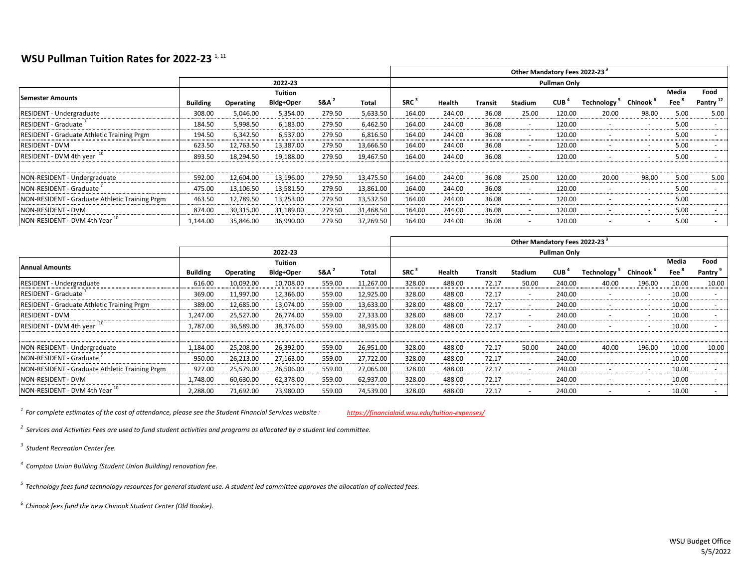## **WSU Pullman Tuition Rates for 2022-23**<sup>1, 11</sup>

|                                                |                 |                     |           |                  |           | Other Mandatory Fees 2022-23 |        |         |                |                  |                         |                      |       |                      |  |  |
|------------------------------------------------|-----------------|---------------------|-----------|------------------|-----------|------------------------------|--------|---------|----------------|------------------|-------------------------|----------------------|-------|----------------------|--|--|
|                                                |                 | <b>Pullman Only</b> |           |                  |           |                              |        |         |                |                  |                         |                      |       |                      |  |  |
| Semester Amounts                               |                 |                     | Tuition   |                  |           |                              |        |         |                |                  |                         |                      | Media | Food                 |  |  |
|                                                | <b>Building</b> | Operating           | Bldg+Oper | S&A <sup>1</sup> | Total     | SRC <sup>3</sup>             | Health | Transit | <b>Stadium</b> | CUB <sup>4</sup> | Technology <sup>-</sup> | Chinook <sup>b</sup> | Fee   | Pantry <sup>12</sup> |  |  |
| <b>RESIDENT - Undergraduate</b>                | 308.00          | 5.046.00            | 5,354.00  | 279.50           | 5,633.50  | 164.00                       | 244.00 | 36.08   | 25.00          | 120.00           | 20.00                   | 98.00                | 5.00  | 5.00                 |  |  |
| RESIDENT - Graduate                            | 184.50          | 5,998.50            | 6,183.00  | 279.50           | 6,462.50  | 164.00                       | 244.00 | 36.08   |                | 120.00           |                         |                      | 5.00  |                      |  |  |
| RESIDENT - Graduate Athletic Training Prgm     | 194.50          | 6,342.50            | 6,537.00  | 279.50           | 6,816.50  | 164.00                       | 244.00 | 36.08   |                | 120.00           |                         |                      | 5.00  |                      |  |  |
| <b>RESIDENT - DVM</b>                          | 623.50          | 12,763.50           | 13,387.00 | 279.50           | 13,666.50 | 164.00                       | 244.00 | 36.08   |                | 120.00           |                         |                      | 5.00  |                      |  |  |
| RESIDENT - DVM 4th year <sup>10</sup>          | 893.50          | 18,294.50           | 19,188.00 | 279.50           | 19,467.50 | 164.00                       | 244.00 | 36.08   |                | 120.00           |                         |                      | 5.00  |                      |  |  |
|                                                |                 |                     |           |                  |           |                              |        |         |                |                  |                         |                      |       |                      |  |  |
| NON-RESIDENT - Undergraduate                   | 592.00          | 12,604.00           | 13,196.00 | 279.50           | 13,475.50 | 164.00                       | 244.00 | 36.08   | 25.00          | 120.00           | 20.00                   | 98.00                | 5.00  | 5.00                 |  |  |
| NON-RESIDENT - Graduate                        | 475.00          | 13,106.50           | 13,581.50 | 279.50           | 13,861.00 | 164.00                       | 244.00 | 36.08   | -              | 120.00           |                         |                      | 5.00  |                      |  |  |
| NON-RESIDENT - Graduate Athletic Training Prgm | 463.50          | 12,789.50           | 13,253.00 | 279.50           | 13,532.50 | 164.00                       | 244.00 | 36.08   | -              | 120.00           |                         |                      | 5.00  |                      |  |  |
| NON-RESIDENT - DVM                             | 874.00          | 30,315.00           | 31,189.00 | 279.50           | 31,468.50 | 164.00                       | 244.00 | 36.08   | ٠              | 120.00           |                         |                      | 5.00  |                      |  |  |
| NON-RESIDENT - DVM 4th Year 10                 | 1.144.00        | 35,846.00           | 36,990.00 | 279.50           | 37,269.50 | 164.00                       | 244.00 | 36.08   | $\sim$         | 120.00           | ٠                       | $\sim$               | 5.00  |                      |  |  |

|                                                   |                 |                  |           |        |           | Other Mandatory Fees 2022-23 |        |         |                          |            |                          |                          |                  |                          |  |
|---------------------------------------------------|-----------------|------------------|-----------|--------|-----------|------------------------------|--------|---------|--------------------------|------------|--------------------------|--------------------------|------------------|--------------------------|--|
|                                                   | 2022-23         |                  |           |        |           | Pullman Only                 |        |         |                          |            |                          |                          |                  |                          |  |
| <b>Annual Amounts</b>                             | <b>Tuition</b>  |                  |           |        |           |                              |        |         |                          |            |                          |                          |                  | Food                     |  |
|                                                   | <b>Building</b> | <b>Operating</b> | Bldg+Oper | S&A    | Total     | $SRC^3$                      | Health | Transit | Stadium                  | <b>CUB</b> | Technology <sup>3</sup>  | Chinook <sup>b</sup>     | Fee <sup>"</sup> | Pantry <sup>9</sup>      |  |
| <b>RESIDENT - Undergraduate</b>                   | 616.00          | 10,092.00        | 10,708.00 | 559.00 | 11,267.00 | 328.00                       | 488.00 | 72.17   | 50.00                    | 240.00     | 40.00                    | 196.00                   | 10.00            | 10.00                    |  |
| <b>RESIDENT - Graduate</b>                        | 369.00          | 11,997.00        | 12,366.00 | 559.00 | 12,925.00 | 328.00                       | 488.00 | 72.17   | $\overline{\phantom{a}}$ | 240.00     |                          | $\overline{a}$           | 10.00            |                          |  |
| <b>RESIDENT - Graduate Athletic Training Prgm</b> | 389.00          | 12,685.00        | 13,074.00 | 559.00 | 13,633.00 | 328.00                       | 488.00 | 72.17   | ۰                        | 240.00     |                          | $\sim$                   | 10.00            | $\sim$                   |  |
| <b>RESIDENT - DVM</b>                             | 1,247.00        | 25.527.00        | 26.774.00 | 559.00 | 27,333.00 | 328.00                       | 488.00 | 72.17   | $\sim$                   | 240.00     |                          | $\overline{\phantom{a}}$ | 10.00            |                          |  |
| RESIDENT - DVM 4th year 10                        | 1.787.00        | 36,589.00        | 38,376.00 | 559.00 | 38,935.00 | 328.00                       | 488.00 | 72.17   | $\overline{\phantom{a}}$ | 240.00     | -                        | $\overline{a}$           | 10.00            |                          |  |
|                                                   |                 |                  |           |        |           |                              |        |         |                          |            |                          |                          |                  |                          |  |
| NON-RESIDENT - Undergraduate                      | 1,184.00        | 25,208.00        | 26,392.00 | 559.00 | 26,951.00 | 328.00                       | 488.00 | 72.17   | 50.00                    | 240.00     | 40.00                    | 196.00                   | 10.00            | 10.00                    |  |
| NON-RESIDENT - Graduate                           | 950.00          | 26.213.00        | 27.163.00 | 559.00 | 27.722.00 | 328.00                       | 488.00 | 72.17   | ۰                        | 240.00     | $\overline{a}$           | $\overline{\phantom{a}}$ | 10.00            | $\overline{\phantom{a}}$ |  |
| NON-RESIDENT - Graduate Athletic Training Prgm    | 927.00          | 25,579.00        | 26,506.00 | 559.00 | 27,065.00 | 328.00                       | 488.00 | 72.17   | $\overline{\phantom{a}}$ | 240.00     |                          | $\overline{a}$           | 10.00            |                          |  |
| NON-RESIDENT - DVM                                | 1.748.00        | 60.630.00        | 62,378.00 | 559.00 | 62,937.00 | 328.00                       | 488.00 | 72.17   | $\overline{\phantom{a}}$ | 240.00     | $\overline{\phantom{a}}$ | $\overline{\phantom{a}}$ | 10.00            | $\sim$                   |  |
| NON-RESIDENT - DVM 4th Year 10                    | 2,288.00        | 71,692.00        | 73,980.00 | 559.00 | 74,539.00 | 328.00                       | 488.00 | 72.17   | $\overline{\phantom{a}}$ | 240.00     | $\overline{a}$           | $\overline{\phantom{a}}$ | 10.00            |                          |  |

*1 For complete estimates of the cost of attendance, please see the Student Financial Services website : <https://financialaid.wsu.edu/tuition-expenses/>*

*2 Services and Activities Fees are used to fund student activities and programs as allocated by a student led committee.*

*3 Student Recreation Center fee.*

*4 Compton Union Building (Student Union Building) renovation fee.*

*5 Technology fees fund technology resources for general student use. A student led committee approves the allocation of collected fees.*

*6 Chinook fees fund the new Chinook Student Center (Old Bookie).*